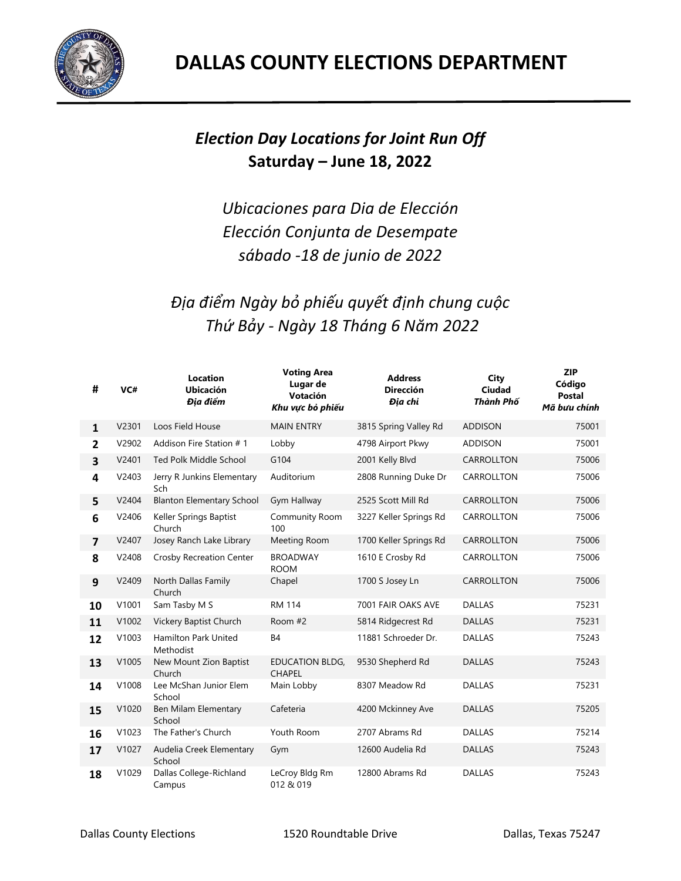

## *Election Day Locations for Joint Run Off*  **Saturday – June 18, 2022**

*Ubicaciones para Dia de Elección Elección Conjunta de Desempate sábado -18 de junio de 2022*

*Địa điểm Ngày bỏ phiếu quyết định chung cuộc Thứ Bảy - Ngày 18 Tháng 6 Năm 2022*

| #              | VC#   | <b>Location</b><br><b>Ubicación</b><br>Đia điểm | <b>Voting Area</b><br>Lugar de<br>Votación<br>Khu vực bỏ phiếu | <b>Address</b><br><b>Dirección</b><br>Đia chỉ | <b>City</b><br>Ciudad<br>Thành Phố | <b>ZIP</b><br>Código<br>Postal<br>Mã bưu chính |
|----------------|-------|-------------------------------------------------|----------------------------------------------------------------|-----------------------------------------------|------------------------------------|------------------------------------------------|
| $\mathbf{1}$   | V2301 | Loos Field House                                | <b>MAIN ENTRY</b>                                              | 3815 Spring Valley Rd                         | <b>ADDISON</b>                     | 75001                                          |
| $\overline{2}$ | V2902 | Addison Fire Station # 1                        | Lobby                                                          | 4798 Airport Pkwy                             | <b>ADDISON</b>                     | 75001                                          |
| 3              | V2401 | <b>Ted Polk Middle School</b>                   | G104                                                           | 2001 Kelly Blvd                               | CARROLLTON                         | 75006                                          |
| 4              | V2403 | Jerry R Junkins Elementary<br>Sch               | Auditorium                                                     | 2808 Running Duke Dr                          | CARROLLTON                         | 75006                                          |
| 5              | V2404 | <b>Blanton Elementary School</b>                | Gym Hallway                                                    | 2525 Scott Mill Rd                            | CARROLLTON                         | 75006                                          |
| 6              | V2406 | Keller Springs Baptist<br>Church                | Community Room<br>100                                          | 3227 Keller Springs Rd                        | CARROLLTON                         | 75006                                          |
| $\overline{7}$ | V2407 | Josey Ranch Lake Library                        | Meeting Room                                                   | 1700 Keller Springs Rd                        | CARROLLTON                         | 75006                                          |
| 8              | V2408 | <b>Crosby Recreation Center</b>                 | <b>BROADWAY</b><br><b>ROOM</b>                                 | 1610 E Crosby Rd                              | CARROLLTON                         | 75006                                          |
| 9              | V2409 | North Dallas Family<br>Church                   | Chapel                                                         | 1700 S Josey Ln                               | CARROLLTON                         | 75006                                          |
| 10             | V1001 | Sam Tasby M S                                   | <b>RM 114</b>                                                  | 7001 FAIR OAKS AVE                            | <b>DALLAS</b>                      | 75231                                          |
| 11             | V1002 | Vickery Baptist Church                          | Room #2                                                        | 5814 Ridgecrest Rd                            | <b>DALLAS</b>                      | 75231                                          |
| 12             | V1003 | <b>Hamilton Park United</b><br>Methodist        | <b>B4</b>                                                      | 11881 Schroeder Dr.                           | <b>DALLAS</b>                      | 75243                                          |
| 13             | V1005 | New Mount Zion Baptist<br>Church                | <b>EDUCATION BLDG,</b><br><b>CHAPEL</b>                        | 9530 Shepherd Rd                              | <b>DALLAS</b>                      | 75243                                          |
| 14             | V1008 | Lee McShan Junior Elem<br>School                | Main Lobby                                                     | 8307 Meadow Rd                                | <b>DALLAS</b>                      | 75231                                          |
| 15             | V1020 | Ben Milam Elementary<br>School                  | Cafeteria                                                      | 4200 Mckinney Ave                             | <b>DALLAS</b>                      | 75205                                          |
| 16             | V1023 | The Father's Church                             | Youth Room                                                     | 2707 Abrams Rd                                | <b>DALLAS</b>                      | 75214                                          |
| 17             | V1027 | Audelia Creek Elementary<br>School              | Gym                                                            | 12600 Audelia Rd                              | <b>DALLAS</b>                      | 75243                                          |
| 18             | V1029 | Dallas College-Richland<br>Campus               | LeCroy Bldg Rm<br>012 & 019                                    | 12800 Abrams Rd                               | <b>DALLAS</b>                      | 75243                                          |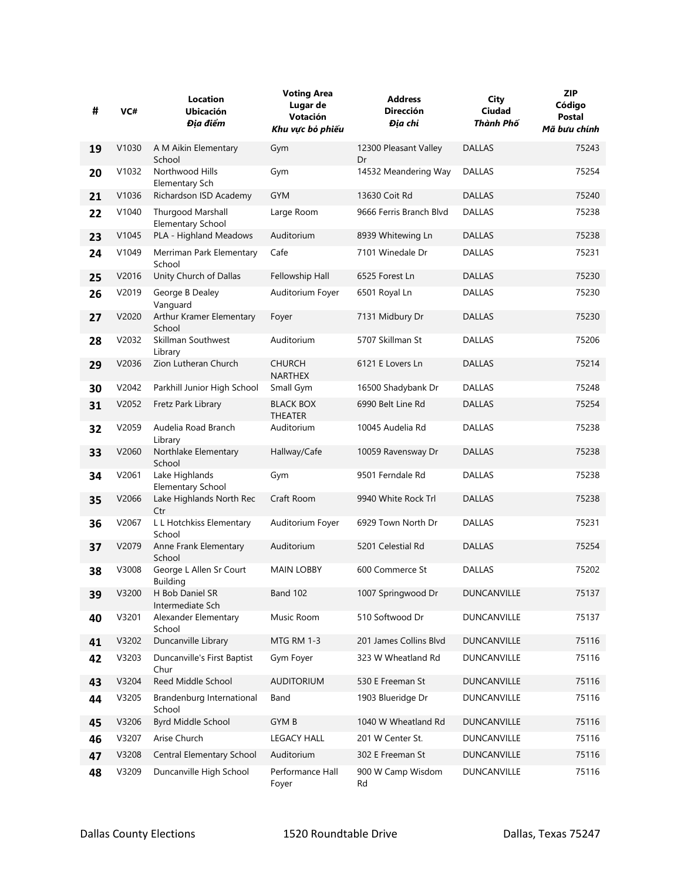| #  | VC#   | Location<br><b>Ubicación</b><br>Địa điểm      | <b>Voting Area</b><br>Lugar de<br>Votación<br>Khu vực bỏ phiếu | <b>Address</b><br><b>Dirección</b><br>Địa chỉ | City<br>Ciudad<br>Thành Phố | <b>ZIP</b><br>Código<br>Postal<br>Mã bưu chính |
|----|-------|-----------------------------------------------|----------------------------------------------------------------|-----------------------------------------------|-----------------------------|------------------------------------------------|
| 19 | V1030 | A M Aikin Elementary<br>School                | Gym                                                            | 12300 Pleasant Valley<br>Dr                   | <b>DALLAS</b>               | 75243                                          |
| 20 | V1032 | Northwood Hills<br>Elementary Sch             | Gym                                                            | 14532 Meandering Way                          | <b>DALLAS</b>               | 75254                                          |
| 21 | V1036 | Richardson ISD Academy                        | <b>GYM</b>                                                     | 13630 Coit Rd                                 | <b>DALLAS</b>               | 75240                                          |
| 22 | V1040 | Thurgood Marshall<br><b>Elementary School</b> | Large Room                                                     | 9666 Ferris Branch Blvd                       | <b>DALLAS</b>               | 75238                                          |
| 23 | V1045 | PLA - Highland Meadows                        | Auditorium                                                     | 8939 Whitewing Ln                             | <b>DALLAS</b>               | 75238                                          |
| 24 | V1049 | Merriman Park Elementary<br>School            | Cafe                                                           | 7101 Winedale Dr                              | <b>DALLAS</b>               | 75231                                          |
| 25 | V2016 | Unity Church of Dallas                        | Fellowship Hall                                                | 6525 Forest Ln                                | <b>DALLAS</b>               | 75230                                          |
| 26 | V2019 | George B Dealey<br>Vanguard                   | Auditorium Foyer                                               | 6501 Royal Ln                                 | <b>DALLAS</b>               | 75230                                          |
| 27 | V2020 | Arthur Kramer Elementary<br>School            | Foyer                                                          | 7131 Midbury Dr                               | <b>DALLAS</b>               | 75230                                          |
| 28 | V2032 | Skillman Southwest<br>Library                 | Auditorium                                                     | 5707 Skillman St                              | <b>DALLAS</b>               | 75206                                          |
| 29 | V2036 | Zion Lutheran Church                          | <b>CHURCH</b><br><b>NARTHEX</b>                                | 6121 E Lovers Ln                              | <b>DALLAS</b>               | 75214                                          |
| 30 | V2042 | Parkhill Junior High School                   | Small Gym                                                      | 16500 Shadybank Dr                            | <b>DALLAS</b>               | 75248                                          |
| 31 | V2052 | Fretz Park Library                            | <b>BLACK BOX</b><br><b>THEATER</b>                             | 6990 Belt Line Rd                             | <b>DALLAS</b>               | 75254                                          |
| 32 | V2059 | Audelia Road Branch<br>Library                | Auditorium                                                     | 10045 Audelia Rd                              | <b>DALLAS</b>               | 75238                                          |
| 33 | V2060 | Northlake Elementary<br>School                | Hallway/Cafe                                                   | 10059 Ravensway Dr                            | <b>DALLAS</b>               | 75238                                          |
| 34 | V2061 | Lake Highlands<br><b>Elementary School</b>    | Gym                                                            | 9501 Ferndale Rd                              | <b>DALLAS</b>               | 75238                                          |
| 35 | V2066 | Lake Highlands North Rec<br>Ctr               | Craft Room                                                     | 9940 White Rock Trl                           | <b>DALLAS</b>               | 75238                                          |
| 36 | V2067 | L L Hotchkiss Elementary<br>School            | Auditorium Foyer                                               | 6929 Town North Dr                            | <b>DALLAS</b>               | 75231                                          |
| 37 | V2079 | Anne Frank Elementary<br>School               | Auditorium                                                     | 5201 Celestial Rd                             | <b>DALLAS</b>               | 75254                                          |
| 38 | V3008 | George L Allen Sr Court<br><b>Building</b>    | <b>MAIN LOBBY</b>                                              | 600 Commerce St                               | <b>DALLAS</b>               | 75202                                          |
| 39 | V3200 | H Bob Daniel SR<br>Intermediate Sch           | <b>Band 102</b>                                                | 1007 Springwood Dr                            | DUNCANVILLE                 | 75137                                          |
| 40 | V3201 | Alexander Elementary<br>School                | Music Room                                                     | 510 Softwood Dr                               | DUNCANVILLE                 | 75137                                          |
| 41 | V3202 | Duncanville Library                           | MTG RM 1-3                                                     | 201 James Collins Blvd                        | DUNCANVILLE                 | 75116                                          |
| 42 | V3203 | Duncanville's First Baptist<br>Chur           | Gym Foyer                                                      | 323 W Wheatland Rd                            | DUNCANVILLE                 | 75116                                          |
| 43 | V3204 | Reed Middle School                            | <b>AUDITORIUM</b>                                              | 530 E Freeman St                              | DUNCANVILLE                 | 75116                                          |
| 44 | V3205 | Brandenburg International<br>School           | Band                                                           | 1903 Blueridge Dr                             | DUNCANVILLE                 | 75116                                          |
| 45 | V3206 | Byrd Middle School                            | <b>GYMB</b>                                                    | 1040 W Wheatland Rd                           | DUNCANVILLE                 | 75116                                          |
| 46 | V3207 | Arise Church                                  | <b>LEGACY HALL</b>                                             | 201 W Center St.                              | DUNCANVILLE                 | 75116                                          |
| 47 | V3208 | Central Elementary School                     | Auditorium                                                     | 302 E Freeman St                              | DUNCANVILLE                 | 75116                                          |
| 48 | V3209 | Duncanville High School                       | Performance Hall<br>Foyer                                      | 900 W Camp Wisdom<br>Rd                       | DUNCANVILLE                 | 75116                                          |